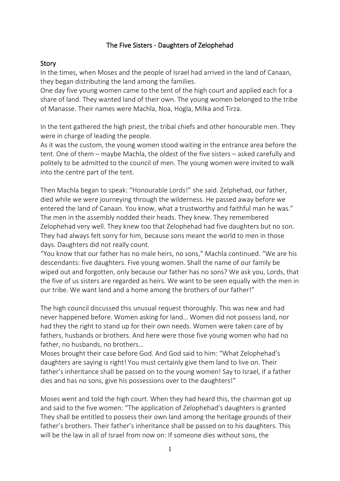## The Five Sisters - Daughters of Zelophehad

## Story

In the times, when Moses and the people of Israel had arrived in the land of Canaan, they began distributing the land among the families.

One day five young women came to the tent of the high court and applied each for a share of land. They wanted land of their own. The young women belonged to the tribe of Manasse. Their names were Machla, Noa, Hogla, Milka and Tirza.

In the tent gathered the high priest, the tribal chiefs and other honourable men. They were in charge of leading the people.

As it was the custom, the young women stood waiting in the entrance area before the tent. One of them – maybe Machla, the oldest of the five sisters – asked carefully and politely to be admitted to the council of men. The young women were invited to walk into the centre part of the tent.

Then Machla began to speak: "Honourable Lords!" she said. Zelphehad, our father, died while we were journeying through the wilderness. He passed away before we entered the land of Canaan. You know, what a trustworthy and faithful man he was." The men in the assembly nodded their heads. They knew. They remembered Zelophehad very well. They knew too that Zelophehad had five daughters but no son. They had always felt sorry for him, because sons meant the world to men in those days. Daughters did not really count.

"You know that our father has no male heirs, no sons," Machla continued. "We are his descendants: five daughters. Five young women. Shall the name of our family be wiped out and forgotten, only because our father has no sons? We ask you, Lords, that the five of us sisters are regarded as heirs. We want to be seen equally with the men in our tribe. We want land and a home among the brothers of our father!"

The high council discussed this unusual request thoroughly. This was new and had never happened before. Women asking for land… Women did not possess land, nor had they the right to stand up for their own needs. Women were taken care of by fathers, husbands or brothers. And here were those five young women who had no father, no husbands, no brothers…

Moses brought their case before God. And God said to him: "What Zelophehad's daughters are saying is right! You must certainly give them land to live on. Their father's inheritance shall be passed on to the young women! Say to Israel, if a father dies and has no sons, give his possessions over to the daughters!"

Moses went and told the high court. When they had heard this, the chairman got up and said to the five women: "The application of Zelophehad's daughters is granted They shall be entitled to possess their own land among the heritage grounds of their father's brothers. Their father's inheritance shall be passed on to his daughters. This will be the law in all of Israel from now on: If someone dies without sons, the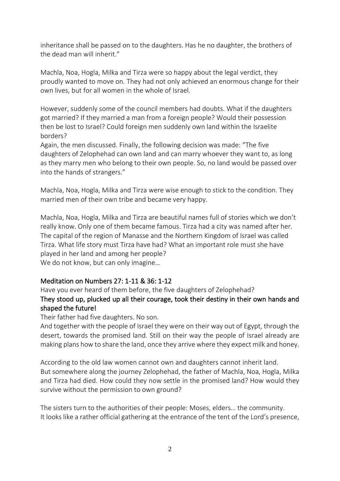inheritance shall be passed on to the daughters. Has he no daughter, the brothers of the dead man will inherit."

Machla, Noa, Hogla, Milka and Tirza were so happy about the legal verdict, they proudly wanted to move on. They had not only achieved an enormous change for their own lives, but for all women in the whole of Israel.

However, suddenly some of the council members had doubts. What if the daughters got married? If they married a man from a foreign people? Would their possession then be lost to Israel? Could foreign men suddenly own land within the Israelite borders?

Again, the men discussed. Finally, the following decision was made: "The five daughters of Zelophehad can own land and can marry whoever they want to, as long as they marry men who belong to their own people. So, no land would be passed over into the hands of strangers."

Machla, Noa, Hogla, Milka and Tirza were wise enough to stick to the condition. They married men of their own tribe and became very happy.

Machla, Noa, Hogla, Milka and Tirza are beautiful names full of stories which we don't really know. Only one of them became famous. Tirza had a city was named after her. The capital of the region of Manasse and the Northern Kingdom of Israel was called Tirza. What life story must Tirza have had? What an important role must she have played in her land and among her people? We do not know, but can only imagine...

## Meditation on Numbers 27: 1-11 & 36: 1-12

Have you ever heard of them before, the five daughters of Zelophehad? They stood up, plucked up all their courage, took their destiny in their own hands and shaped the future!

Their father had five daughters. No son.

And together with the people of Israel they were on their way out of Egypt, through the desert, towards the promised land. Still on their way the people of Israel already are making plans how to share the land, once they arrive where they expect milk and honey.

According to the old law women cannot own and daughters cannot inherit land. But somewhere along the journey Zelophehad, the father of Machla, Noa, Hogla, Milka and Tirza had died. How could they now settle in the promised land? How would they survive without the permission to own ground?

The sisters turn to the authorities of their people: Moses, elders… the community. It looks like a rather official gathering at the entrance of the tent of the Lord's presence,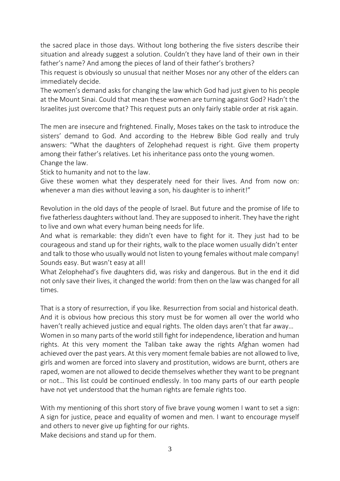the sacred place in those days. Without long bothering the five sisters describe their situation and already suggest a solution. Couldn't they have land of their own in their father's name? And among the pieces of land of their father's brothers?

This request is obviously so unusual that neither Moses nor any other of the elders can immediately decide.

The women's demand asks for changing the law which God had just given to his people at the Mount Sinai. Could that mean these women are turning against God? Hadn't the Israelites just overcome that? This request puts an only fairly stable order at risk again.

The men are insecure and frightened. Finally, Moses takes on the task to introduce the sisters' demand to God. And according to the Hebrew Bible God really and truly answers: "What the daughters of Zelophehad request is right. Give them property among their father's relatives. Let his inheritance pass onto the young women. Change the law.

Stick to humanity and not to the law.

Give these women what they desperately need for their lives. And from now on: whenever a man dies without leaving a son, his daughter is to inherit!"

Revolution in the old days of the people of Israel. But future and the promise of life to five fatherless daughters without land. They are supposed to inherit. They have the right to live and own what every human being needs for life.

And what is remarkable: they didn't even have to fight for it. They just had to be courageous and stand up for their rights, walk to the place women usually didn't enter and talk to those who usually would not listen to young females without male company! Sounds easy. But wasn't easy at all!

What Zelophehad's five daughters did, was risky and dangerous. But in the end it did not only save their lives, it changed the world: from then on the law was changed for all times.

That is a story of resurrection, if you like. Resurrection from social and historical death. And it is obvious how precious this story must be for women all over the world who haven't really achieved justice and equal rights. The olden days aren't that far away… Women in so many parts of the world still fight for independence, liberation and human rights. At this very moment the Taliban take away the rights Afghan women had achieved over the past years. At this very moment female babies are not allowed to live, girls and women are forced into slavery and prostitution, widows are burnt, others are raped, women are not allowed to decide themselves whether they want to be pregnant or not… This list could be continued endlessly. In too many parts of our earth people have not yet understood that the human rights are female rights too.

With my mentioning of this short story of five brave young women I want to set a sign: A sign for justice, peace and equality of women and men. I want to encourage myself and others to never give up fighting for our rights. Make decisions and stand up for them.